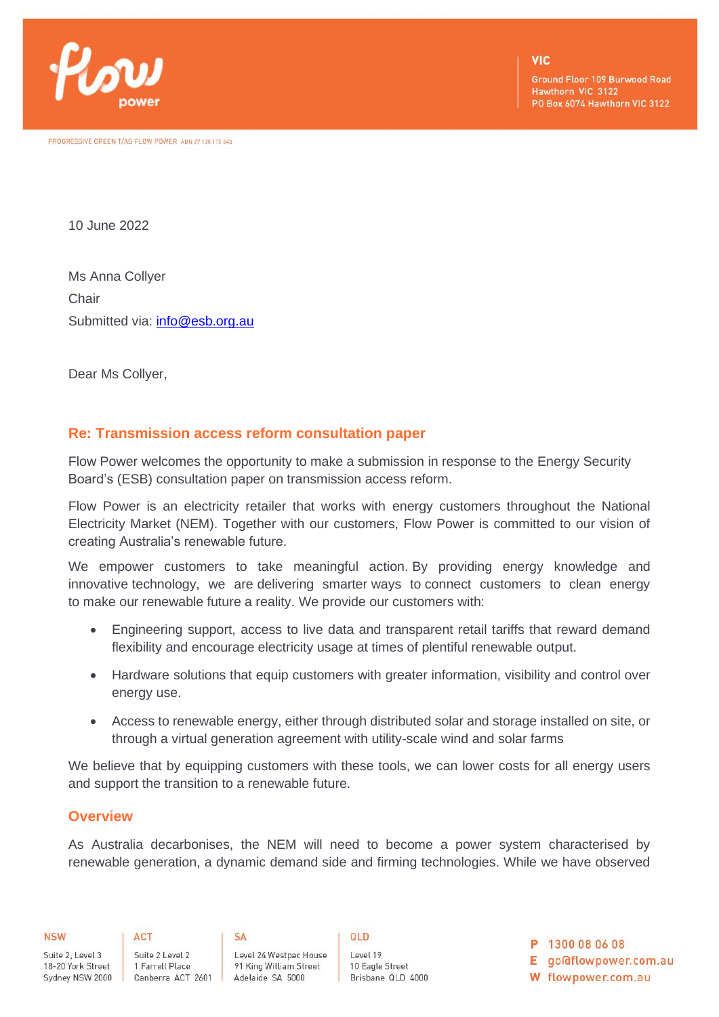

PROGRESSIVE GREEN T/AS FLOW POWER ABN 27 130 175 343

**Ground Floor 109 Burwood Road** Hawthorn VIC 3122 PO Box 6074 Hawthorn VIC 3122

10 June 2022

Ms Anna Collyer **Chair** Submitted via: [info@esb.org.au](mailto:info@esb.org.au)

Dear Ms Collyer,

# **Re: Transmission access reform consultation paper**

Flow Power welcomes the opportunity to make a submission in response to the Energy Security Board's (ESB) consultation paper on transmission access reform.

Flow Power is an electricity retailer that works with energy customers throughout the National Electricity Market (NEM). Together with our customers, Flow Power is committed to our vision of creating Australia's renewable future.

We empower customers to take meaningful action. By providing energy knowledge and innovative technology, we are delivering smarter ways to connect customers to clean energy to make our renewable future a reality. We provide our customers with:

- Engineering support, access to live data and transparent retail tariffs that reward demand flexibility and encourage electricity usage at times of plentiful renewable output.
- Hardware solutions that equip customers with greater information, visibility and control over energy use.
- Access to renewable energy, either through distributed solar and storage installed on site, or through a virtual generation agreement with utility-scale wind and solar farms

We believe that by equipping customers with these tools, we can lower costs for all energy users and support the transition to a renewable future.

# **Overview**

As Australia decarbonises, the NEM will need to become a power system characterised by renewable generation, a dynamic demand side and firming technologies. While we have observed

**ACT** Suite 2, Level 3 Suite 2 Level 2 18-20 York Street 1 Farrell Place

**SA** Level 24 Westpac House 91 King William Street Sydney NSW 2000 Canberra ACT 2601 Adelaide SA 5000

QLD

Level 19 10 Eagle Street Brisbane QLD 4000 P 1300 08 06 08

E goldflowpower.com.au

W flowpower.com.au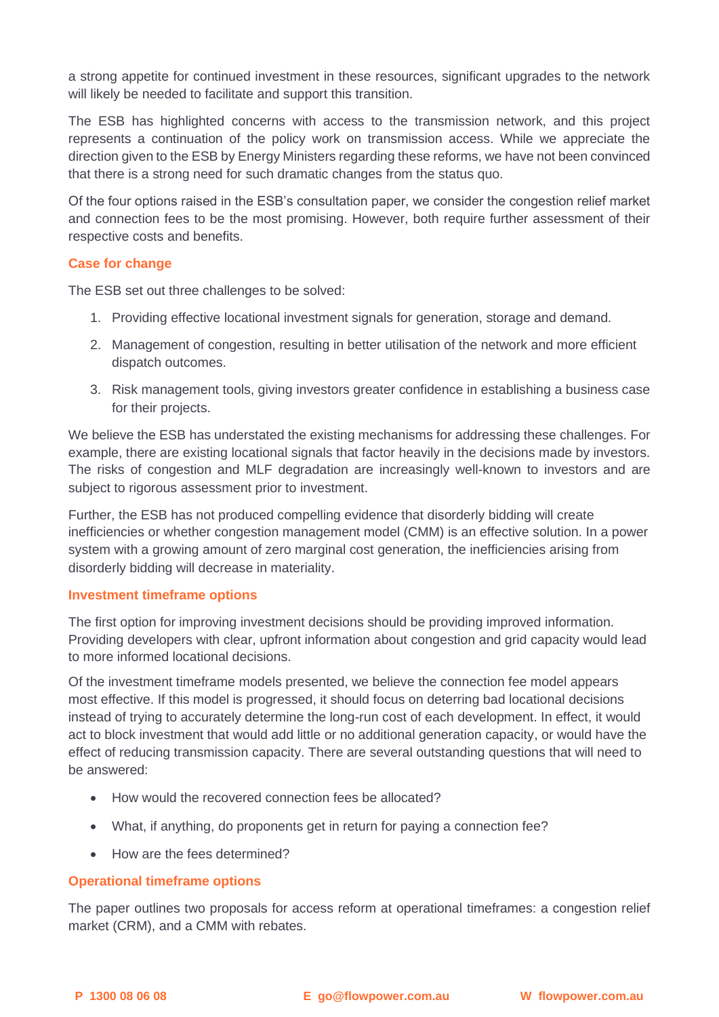a strong appetite for continued investment in these resources, significant upgrades to the network will likely be needed to facilitate and support this transition.

The ESB has highlighted concerns with access to the transmission network, and this project represents a continuation of the policy work on transmission access. While we appreciate the direction given to the ESB by Energy Ministers regarding these reforms, we have not been convinced that there is a strong need for such dramatic changes from the status quo.

Of the four options raised in the ESB's consultation paper, we consider the congestion relief market and connection fees to be the most promising. However, both require further assessment of their respective costs and benefits.

### **Case for change**

The ESB set out three challenges to be solved:

- 1. Providing effective locational investment signals for generation, storage and demand.
- 2. Management of congestion, resulting in better utilisation of the network and more efficient dispatch outcomes.
- 3. Risk management tools, giving investors greater confidence in establishing a business case for their projects.

We believe the ESB has understated the existing mechanisms for addressing these challenges. For example, there are existing locational signals that factor heavily in the decisions made by investors. The risks of congestion and MLF degradation are increasingly well-known to investors and are subject to rigorous assessment prior to investment.

Further, the ESB has not produced compelling evidence that disorderly bidding will create inefficiencies or whether congestion management model (CMM) is an effective solution. In a power system with a growing amount of zero marginal cost generation, the inefficiencies arising from disorderly bidding will decrease in materiality.

#### **Investment timeframe options**

The first option for improving investment decisions should be providing improved information. Providing developers with clear, upfront information about congestion and grid capacity would lead to more informed locational decisions.

Of the investment timeframe models presented, we believe the connection fee model appears most effective. If this model is progressed, it should focus on deterring bad locational decisions instead of trying to accurately determine the long-run cost of each development. In effect, it would act to block investment that would add little or no additional generation capacity, or would have the effect of reducing transmission capacity. There are several outstanding questions that will need to be answered:

- How would the recovered connection fees be allocated?
- What, if anything, do proponents get in return for paying a connection fee?
- How are the fees determined?

# **Operational timeframe options**

The paper outlines two proposals for access reform at operational timeframes: a congestion relief market (CRM), and a CMM with rebates.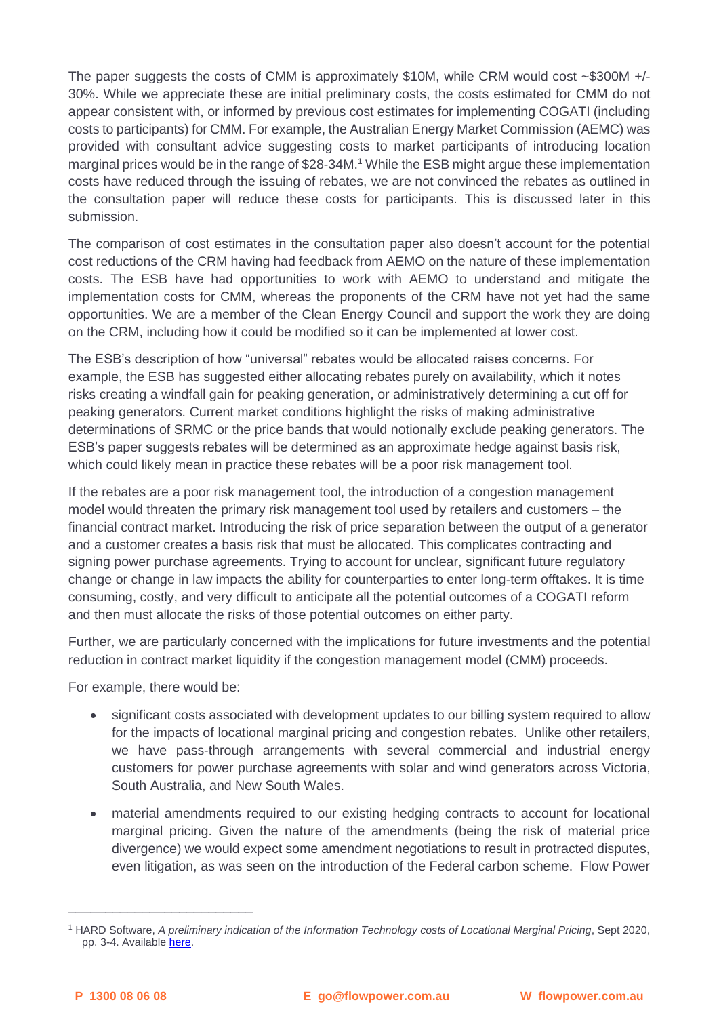The paper suggests the costs of CMM is approximately \$10M, while CRM would cost  $\sim$ \$300M +/-30%. While we appreciate these are initial preliminary costs, the costs estimated for CMM do not appear consistent with, or informed by previous cost estimates for implementing COGATI (including costs to participants) for CMM. For example, the Australian Energy Market Commission (AEMC) was provided with consultant advice suggesting costs to market participants of introducing location marginal prices would be in the range of \$28-34M.<sup>1</sup> While the ESB might argue these implementation costs have reduced through the issuing of rebates, we are not convinced the rebates as outlined in the consultation paper will reduce these costs for participants. This is discussed later in this submission.

The comparison of cost estimates in the consultation paper also doesn't account for the potential cost reductions of the CRM having had feedback from AEMO on the nature of these implementation costs. The ESB have had opportunities to work with AEMO to understand and mitigate the implementation costs for CMM, whereas the proponents of the CRM have not yet had the same opportunities. We are a member of the Clean Energy Council and support the work they are doing on the CRM, including how it could be modified so it can be implemented at lower cost.

The ESB's description of how "universal" rebates would be allocated raises concerns. For example, the ESB has suggested either allocating rebates purely on availability, which it notes risks creating a windfall gain for peaking generation, or administratively determining a cut off for peaking generators. Current market conditions highlight the risks of making administrative determinations of SRMC or the price bands that would notionally exclude peaking generators. The ESB's paper suggests rebates will be determined as an approximate hedge against basis risk, which could likely mean in practice these rebates will be a poor risk management tool.

If the rebates are a poor risk management tool, the introduction of a congestion management model would threaten the primary risk management tool used by retailers and customers – the financial contract market. Introducing the risk of price separation between the output of a generator and a customer creates a basis risk that must be allocated. This complicates contracting and signing power purchase agreements. Trying to account for unclear, significant future regulatory change or change in law impacts the ability for counterparties to enter long-term offtakes. It is time consuming, costly, and very difficult to anticipate all the potential outcomes of a COGATI reform and then must allocate the risks of those potential outcomes on either party.

Further, we are particularly concerned with the implications for future investments and the potential reduction in contract market liquidity if the congestion management model (CMM) proceeds.

For example, there would be:

\_\_\_\_\_\_\_\_\_\_\_\_\_\_\_\_\_\_\_\_\_\_\_\_\_

- significant costs associated with development updates to our billing system required to allow for the impacts of locational marginal pricing and congestion rebates. Unlike other retailers, we have pass-through arrangements with several commercial and industrial energy customers for power purchase agreements with solar and wind generators across Victoria, South Australia, and New South Wales.
- material amendments required to our existing hedging contracts to account for locational marginal pricing. Given the nature of the amendments (being the risk of material price divergence) we would expect some amendment negotiations to result in protracted disputes, even litigation, as was seen on the introduction of the Federal carbon scheme. Flow Power

<sup>1</sup> HARD Software, *A preliminary indication of the Information Technology costs of Locational Marginal Pricing*, Sept 2020, pp. 3-4. Available [here.](https://www.aemc.gov.au/sites/default/files/2020-09/IT%20costs%20of%20implementing%20NEM%20locational%20_ng%20-%20Hard%20Software%20-%20Information%20Technology%20costs%20of%20nodal%20pricing%20-%202020_09_07.PDF)